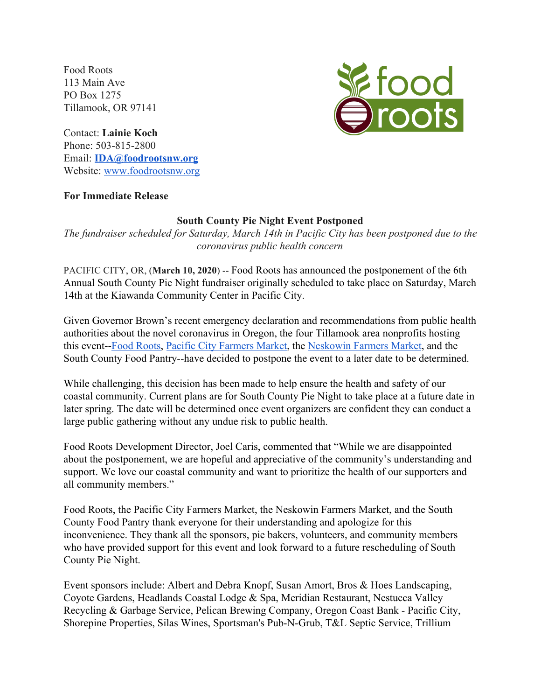Food Roots 113 Main Ave PO Box 1275 Tillamook, OR 97141 *i* food<br>Iroots

Contact: **Lainie Koch** Phone: 503-815-2800 Email: **[IDA@foodrootsnw.org](mailto:IDA@foodrootsnw.org)** Website: [www.foodrootsnw.org](http://www.foodrootsnw.org/)

## **For Immediate Release**

## **South County Pie Night Event Postponed**

*The fundraiser scheduled for Saturday, March 14th in Pacific City has been postponed due to the coronavirus public health concer[n](http://www.foodrootsnw.org/)*

PACIFIC CITY, OR, (**March 10, 2020**) -- Food Roots has announced the postponement of the 6th Annual South County Pie Night fundraiser originally scheduled to take place on Saturday, March 14th at the Kiawanda Community Center in Pacific City.

Given Governor Brown's recent emergency declaration and recommendations from public health authorities about the novel coronavirus in Oregon, the four Tillamook area nonprofits hosting this event-[-Food Roots,](https://www.foodrootsnw.org/) [Pacific City Farmers Market,](https://www.facebook.com/pg/PacificCityFarmersMarket/about/?ref=page_internal) the [Neskowin Farmers Market](http://neskowinfarmersmarket.com/), and the South County Food Pantry--have decided to postpone the event to a later date to be determined.

While challenging, this decision has been made to help ensure the health and safety of our coastal community. Current plans are for South County Pie Night to take place at a future date in later spring. The date will be determined once event organizers are confident they can conduct a large public gathering without any undue risk to public health.

Food Roots Development Director, Joel Caris, commented that "While we are disappointed about the postponement, we are hopeful and appreciative of the community's understanding and support. We love our coastal community and want to prioritize the health of our supporters and all community members."

Food Roots, the Pacific City Farmers Market, the Neskowin Farmers Market, and the South County Food Pantry thank everyone for their understanding and apologize for this inconvenience. They thank all the sponsors, pie bakers, volunteers, and community members who have provided support for this event and look forward to a future rescheduling of South County Pie Night.

Event sponsors include: Albert and Debra Knopf, Susan Amort, Bros & Hoes Landscaping, Coyote Gardens, Headlands Coastal Lodge & Spa, Meridian Restaurant, Nestucca Valley Recycling & Garbage Service, Pelican Brewing Company, Oregon Coast Bank - Pacific City, Shorepine Properties, Silas Wines, Sportsman's Pub-N-Grub, T&L Septic Service, Trillium